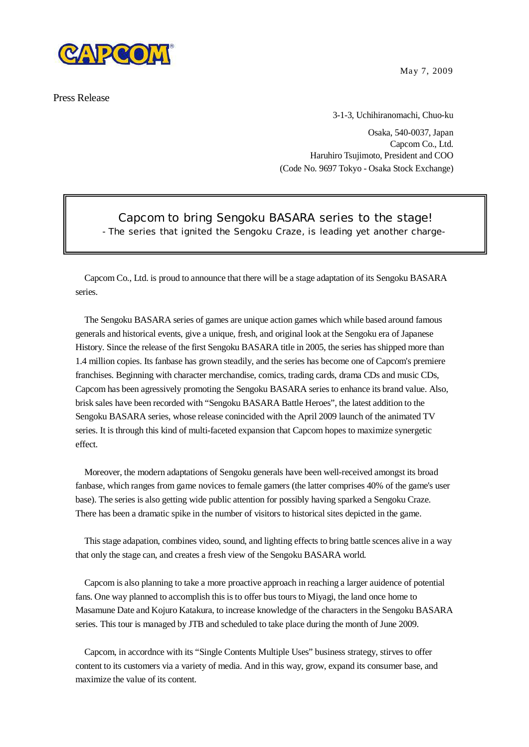

Press Release

May 7, 2009

3-1-3, Uchihiranomachi, Chuo-ku

Osaka, 540-0037, Japan Capcom Co., Ltd. Haruhiro Tsujimoto, President and COO (Code No. 9697 Tokyo - Osaka Stock Exchange)

# Capcom to bring Sengoku BASARA series to the stage! -The series that ignited the Sengoku Craze, is leading yet another charge-

Capcom Co., Ltd. is proud to announce that there will be a stage adaptation of its Sengoku BASARA series.

The Sengoku BASARA series of games are unique action games which while based around famous generals and historical events, give a unique, fresh, and original look at the Sengoku era of Japanese History. Since the release of the first Sengoku BASARA title in 2005, the series has shipped more than 1.4 million copies. Its fanbase has grown steadily, and the series has become one of Capcom's premiere franchises. Beginning with character merchandise, comics, trading cards, drama CDs and music CDs, Capcom has been agressively promoting the Sengoku BASARA series to enhance its brand value. Also, brisk sales have been recorded with "Sengoku BASARA Battle Heroes", the latest addition to the Sengoku BASARA series, whose release conincided with the April 2009 launch of the animated TV series. It is through this kind of multi-faceted expansion that Capcom hopes to maximize synergetic effect.

Moreover, the modern adaptations of Sengoku generals have been well-received amongst its broad fanbase, which ranges from game novices to female gamers (the latter comprises 40% of the game's user base). The series is also getting wide public attention for possibly having sparked a Sengoku Craze. There has been a dramatic spike in the number of visitors to historical sites depicted in the game.

This stage adapation, combines video, sound, and lighting effects to bring battle scences alive in a way that only the stage can, and creates a fresh view of the Sengoku BASARA world.

Capcom is also planning to take a more proactive approach in reaching a larger auidence of potential fans. One way planned to accomplish this is to offer bus tours to Miyagi, the land once home to Masamune Date and Kojuro Katakura, to increase knowledge of the characters in the Sengoku BASARA series. This tour is managed by JTB and scheduled to take place during the month of June 2009.

Capcom, in accordnce with its "Single Contents Multiple Uses" business strategy, stirves to offer content to its customers via a variety of media. And in this way, grow, expand its consumer base, and maximize the value of its content.